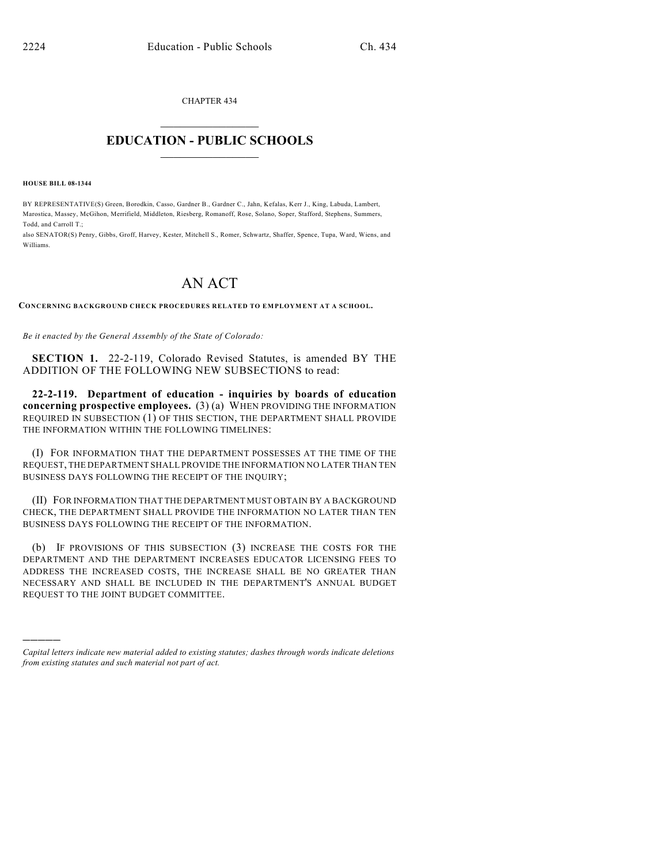CHAPTER 434  $\mathcal{L}_\text{max}$  . The set of the set of the set of the set of the set of the set of the set of the set of the set of the set of the set of the set of the set of the set of the set of the set of the set of the set of the set

## **EDUCATION - PUBLIC SCHOOLS**  $\_$   $\_$   $\_$   $\_$   $\_$   $\_$   $\_$   $\_$   $\_$

**HOUSE BILL 08-1344**

)))))

BY REPRESENTATIVE(S) Green, Borodkin, Casso, Gardner B., Gardner C., Jahn, Kefalas, Kerr J., King, Labuda, Lambert, Marostica, Massey, McGihon, Merrifield, Middleton, Riesberg, Romanoff, Rose, Solano, Soper, Stafford, Stephens, Summers, Todd, and Carroll T.;

also SENATOR(S) Penry, Gibbs, Groff, Harvey, Kester, Mitchell S., Romer, Schwartz, Shaffer, Spence, Tupa, Ward, Wiens, and Williams.

## AN ACT

**CONCERNING BACKGROUND CHECK PROCEDURES RELATED TO EMPLOYMENT AT A SCHOOL.**

*Be it enacted by the General Assembly of the State of Colorado:*

**SECTION 1.** 22-2-119, Colorado Revised Statutes, is amended BY THE ADDITION OF THE FOLLOWING NEW SUBSECTIONS to read:

**22-2-119. Department of education - inquiries by boards of education concerning prospective employees.** (3) (a) WHEN PROVIDING THE INFORMATION REQUIRED IN SUBSECTION (1) OF THIS SECTION, THE DEPARTMENT SHALL PROVIDE THE INFORMATION WITHIN THE FOLLOWING TIMELINES:

(I) FOR INFORMATION THAT THE DEPARTMENT POSSESSES AT THE TIME OF THE REQUEST, THE DEPARTMENT SHALL PROVIDE THE INFORMATION NO LATER THAN TEN BUSINESS DAYS FOLLOWING THE RECEIPT OF THE INQUIRY;

(II) FOR INFORMATION THAT THE DEPARTMENT MUST OBTAIN BY A BACKGROUND CHECK, THE DEPARTMENT SHALL PROVIDE THE INFORMATION NO LATER THAN TEN BUSINESS DAYS FOLLOWING THE RECEIPT OF THE INFORMATION.

(b) IF PROVISIONS OF THIS SUBSECTION (3) INCREASE THE COSTS FOR THE DEPARTMENT AND THE DEPARTMENT INCREASES EDUCATOR LICENSING FEES TO ADDRESS THE INCREASED COSTS, THE INCREASE SHALL BE NO GREATER THAN NECESSARY AND SHALL BE INCLUDED IN THE DEPARTMENT'S ANNUAL BUDGET REQUEST TO THE JOINT BUDGET COMMITTEE.

*Capital letters indicate new material added to existing statutes; dashes through words indicate deletions from existing statutes and such material not part of act.*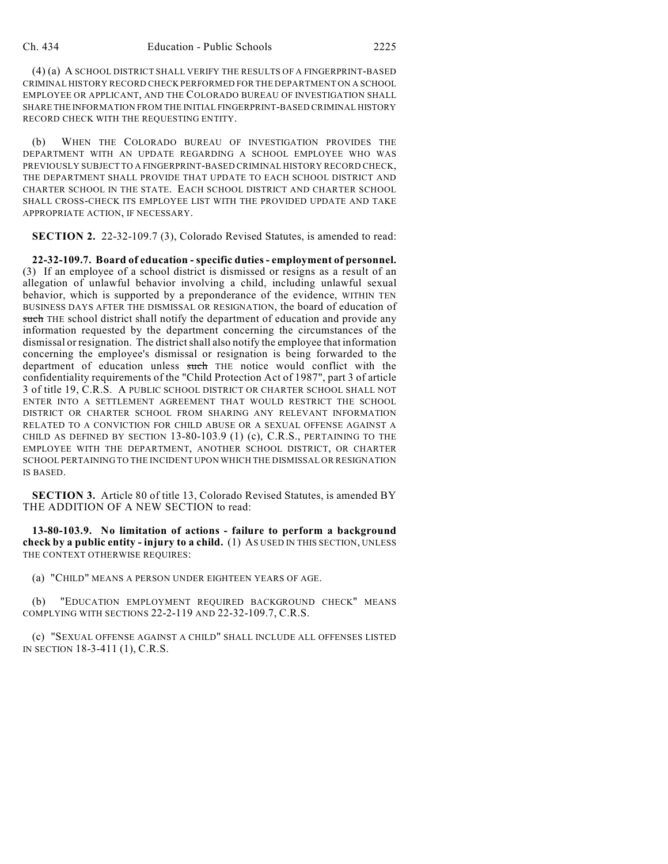(4) (a) A SCHOOL DISTRICT SHALL VERIFY THE RESULTS OF A FINGERPRINT-BASED CRIMINAL HISTORY RECORD CHECK PERFORMED FOR THE DEPARTMENT ON A SCHOOL EMPLOYEE OR APPLICANT, AND THE COLORADO BUREAU OF INVESTIGATION SHALL SHARE THE INFORMATION FROM THE INITIAL FINGERPRINT-BASED CRIMINAL HISTORY RECORD CHECK WITH THE REQUESTING ENTITY.

(b) WHEN THE COLORADO BUREAU OF INVESTIGATION PROVIDES THE DEPARTMENT WITH AN UPDATE REGARDING A SCHOOL EMPLOYEE WHO WAS PREVIOUSLY SUBJECT TO A FINGERPRINT-BASED CRIMINAL HISTORY RECORD CHECK, THE DEPARTMENT SHALL PROVIDE THAT UPDATE TO EACH SCHOOL DISTRICT AND CHARTER SCHOOL IN THE STATE. EACH SCHOOL DISTRICT AND CHARTER SCHOOL SHALL CROSS-CHECK ITS EMPLOYEE LIST WITH THE PROVIDED UPDATE AND TAKE APPROPRIATE ACTION, IF NECESSARY.

**SECTION 2.** 22-32-109.7 (3), Colorado Revised Statutes, is amended to read:

**22-32-109.7. Board of education - specific duties - employment of personnel.** (3) If an employee of a school district is dismissed or resigns as a result of an allegation of unlawful behavior involving a child, including unlawful sexual behavior, which is supported by a preponderance of the evidence, WITHIN TEN BUSINESS DAYS AFTER THE DISMISSAL OR RESIGNATION, the board of education of such THE school district shall notify the department of education and provide any information requested by the department concerning the circumstances of the dismissal or resignation. The district shall also notify the employee that information concerning the employee's dismissal or resignation is being forwarded to the department of education unless such THE notice would conflict with the confidentiality requirements of the "Child Protection Act of 1987", part 3 of article 3 of title 19, C.R.S. A PUBLIC SCHOOL DISTRICT OR CHARTER SCHOOL SHALL NOT ENTER INTO A SETTLEMENT AGREEMENT THAT WOULD RESTRICT THE SCHOOL DISTRICT OR CHARTER SCHOOL FROM SHARING ANY RELEVANT INFORMATION RELATED TO A CONVICTION FOR CHILD ABUSE OR A SEXUAL OFFENSE AGAINST A CHILD AS DEFINED BY SECTION 13-80-103.9 (1) (c), C.R.S., PERTAINING TO THE EMPLOYEE WITH THE DEPARTMENT, ANOTHER SCHOOL DISTRICT, OR CHARTER SCHOOL PERTAINING TO THE INCIDENT UPON WHICH THE DISMISSAL OR RESIGNATION IS BASED.

**SECTION 3.** Article 80 of title 13, Colorado Revised Statutes, is amended BY THE ADDITION OF A NEW SECTION to read:

**13-80-103.9. No limitation of actions - failure to perform a background check by a public entity - injury to a child.** (1) AS USED IN THIS SECTION, UNLESS THE CONTEXT OTHERWISE REQUIRES:

(a) "CHILD" MEANS A PERSON UNDER EIGHTEEN YEARS OF AGE.

(b) "EDUCATION EMPLOYMENT REQUIRED BACKGROUND CHECK" MEANS COMPLYING WITH SECTIONS 22-2-119 AND 22-32-109.7, C.R.S.

(c) "SEXUAL OFFENSE AGAINST A CHILD" SHALL INCLUDE ALL OFFENSES LISTED IN SECTION 18-3-411 (1), C.R.S.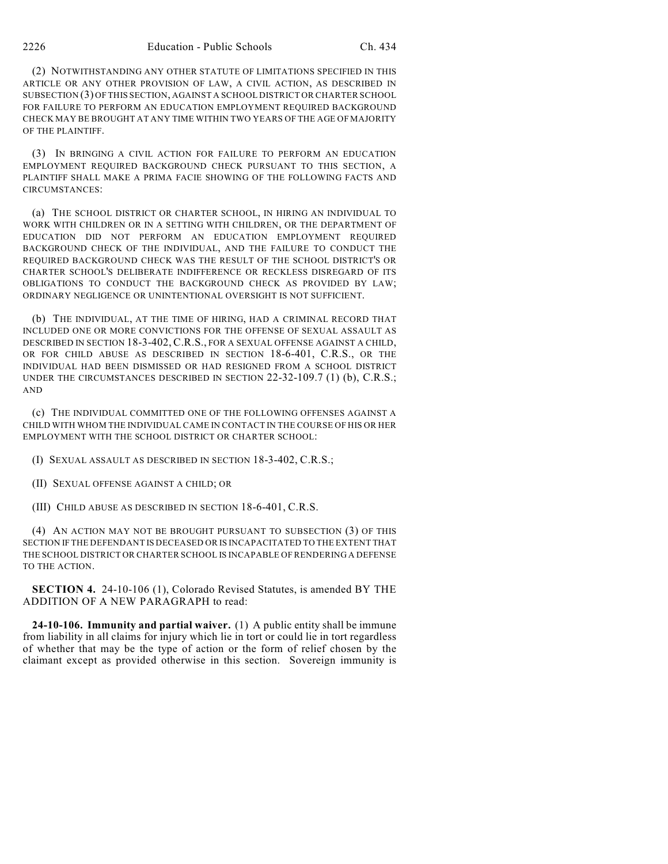(2) NOTWITHSTANDING ANY OTHER STATUTE OF LIMITATIONS SPECIFIED IN THIS ARTICLE OR ANY OTHER PROVISION OF LAW, A CIVIL ACTION, AS DESCRIBED IN SUBSECTION (3) OF THIS SECTION, AGAINST A SCHOOL DISTRICT OR CHARTER SCHOOL FOR FAILURE TO PERFORM AN EDUCATION EMPLOYMENT REQUIRED BACKGROUND CHECK MAY BE BROUGHT AT ANY TIME WITHIN TWO YEARS OF THE AGE OF MAJORITY OF THE PLAINTIFF.

(3) IN BRINGING A CIVIL ACTION FOR FAILURE TO PERFORM AN EDUCATION EMPLOYMENT REQUIRED BACKGROUND CHECK PURSUANT TO THIS SECTION, A PLAINTIFF SHALL MAKE A PRIMA FACIE SHOWING OF THE FOLLOWING FACTS AND CIRCUMSTANCES:

(a) THE SCHOOL DISTRICT OR CHARTER SCHOOL, IN HIRING AN INDIVIDUAL TO WORK WITH CHILDREN OR IN A SETTING WITH CHILDREN, OR THE DEPARTMENT OF EDUCATION DID NOT PERFORM AN EDUCATION EMPLOYMENT REQUIRED BACKGROUND CHECK OF THE INDIVIDUAL, AND THE FAILURE TO CONDUCT THE REQUIRED BACKGROUND CHECK WAS THE RESULT OF THE SCHOOL DISTRICT'S OR CHARTER SCHOOL'S DELIBERATE INDIFFERENCE OR RECKLESS DISREGARD OF ITS OBLIGATIONS TO CONDUCT THE BACKGROUND CHECK AS PROVIDED BY LAW; ORDINARY NEGLIGENCE OR UNINTENTIONAL OVERSIGHT IS NOT SUFFICIENT.

(b) THE INDIVIDUAL, AT THE TIME OF HIRING, HAD A CRIMINAL RECORD THAT INCLUDED ONE OR MORE CONVICTIONS FOR THE OFFENSE OF SEXUAL ASSAULT AS DESCRIBED IN SECTION 18-3-402, C.R.S., FOR A SEXUAL OFFENSE AGAINST A CHILD, OR FOR CHILD ABUSE AS DESCRIBED IN SECTION 18-6-401, C.R.S., OR THE INDIVIDUAL HAD BEEN DISMISSED OR HAD RESIGNED FROM A SCHOOL DISTRICT UNDER THE CIRCUMSTANCES DESCRIBED IN SECTION 22-32-109.7 (1) (b), C.R.S.; AND

(c) THE INDIVIDUAL COMMITTED ONE OF THE FOLLOWING OFFENSES AGAINST A CHILD WITH WHOM THE INDIVIDUAL CAME IN CONTACT IN THE COURSE OF HIS OR HER EMPLOYMENT WITH THE SCHOOL DISTRICT OR CHARTER SCHOOL:

(I) SEXUAL ASSAULT AS DESCRIBED IN SECTION 18-3-402, C.R.S.;

(II) SEXUAL OFFENSE AGAINST A CHILD; OR

(III) CHILD ABUSE AS DESCRIBED IN SECTION 18-6-401, C.R.S.

(4) AN ACTION MAY NOT BE BROUGHT PURSUANT TO SUBSECTION (3) OF THIS SECTION IF THE DEFENDANT IS DECEASED OR IS INCAPACITATED TO THE EXTENT THAT THE SCHOOL DISTRICT OR CHARTER SCHOOL IS INCAPABLE OF RENDERING A DEFENSE TO THE ACTION.

**SECTION 4.** 24-10-106 (1), Colorado Revised Statutes, is amended BY THE ADDITION OF A NEW PARAGRAPH to read:

**24-10-106. Immunity and partial waiver.** (1) A public entity shall be immune from liability in all claims for injury which lie in tort or could lie in tort regardless of whether that may be the type of action or the form of relief chosen by the claimant except as provided otherwise in this section. Sovereign immunity is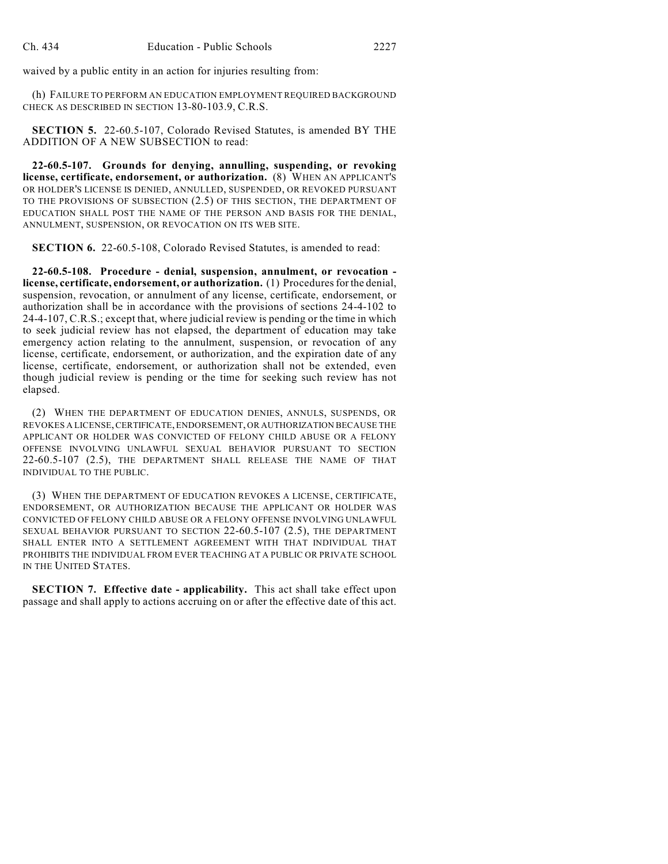waived by a public entity in an action for injuries resulting from:

(h) FAILURE TO PERFORM AN EDUCATION EMPLOYMENT REQUIRED BACKGROUND CHECK AS DESCRIBED IN SECTION 13-80-103.9, C.R.S.

**SECTION 5.** 22-60.5-107, Colorado Revised Statutes, is amended BY THE ADDITION OF A NEW SUBSECTION to read:

**22-60.5-107. Grounds for denying, annulling, suspending, or revoking license, certificate, endorsement, or authorization.** (8) WHEN AN APPLICANT'S OR HOLDER'S LICENSE IS DENIED, ANNULLED, SUSPENDED, OR REVOKED PURSUANT TO THE PROVISIONS OF SUBSECTION (2.5) OF THIS SECTION, THE DEPARTMENT OF EDUCATION SHALL POST THE NAME OF THE PERSON AND BASIS FOR THE DENIAL, ANNULMENT, SUSPENSION, OR REVOCATION ON ITS WEB SITE.

**SECTION 6.** 22-60.5-108, Colorado Revised Statutes, is amended to read:

**22-60.5-108. Procedure - denial, suspension, annulment, or revocation license, certificate, endorsement, or authorization.** (1) Procedures for the denial, suspension, revocation, or annulment of any license, certificate, endorsement, or authorization shall be in accordance with the provisions of sections 24-4-102 to 24-4-107, C.R.S.; except that, where judicial review is pending or the time in which to seek judicial review has not elapsed, the department of education may take emergency action relating to the annulment, suspension, or revocation of any license, certificate, endorsement, or authorization, and the expiration date of any license, certificate, endorsement, or authorization shall not be extended, even though judicial review is pending or the time for seeking such review has not elapsed.

(2) WHEN THE DEPARTMENT OF EDUCATION DENIES, ANNULS, SUSPENDS, OR REVOKES A LICENSE, CERTIFICATE, ENDORSEMENT, OR AUTHORIZATION BECAUSE THE APPLICANT OR HOLDER WAS CONVICTED OF FELONY CHILD ABUSE OR A FELONY OFFENSE INVOLVING UNLAWFUL SEXUAL BEHAVIOR PURSUANT TO SECTION 22-60.5-107 (2.5), THE DEPARTMENT SHALL RELEASE THE NAME OF THAT INDIVIDUAL TO THE PUBLIC.

(3) WHEN THE DEPARTMENT OF EDUCATION REVOKES A LICENSE, CERTIFICATE, ENDORSEMENT, OR AUTHORIZATION BECAUSE THE APPLICANT OR HOLDER WAS CONVICTED OF FELONY CHILD ABUSE OR A FELONY OFFENSE INVOLVING UNLAWFUL SEXUAL BEHAVIOR PURSUANT TO SECTION 22-60.5-107 (2.5), THE DEPARTMENT SHALL ENTER INTO A SETTLEMENT AGREEMENT WITH THAT INDIVIDUAL THAT PROHIBITS THE INDIVIDUAL FROM EVER TEACHING AT A PUBLIC OR PRIVATE SCHOOL IN THE UNITED STATES.

**SECTION 7. Effective date - applicability.** This act shall take effect upon passage and shall apply to actions accruing on or after the effective date of this act.